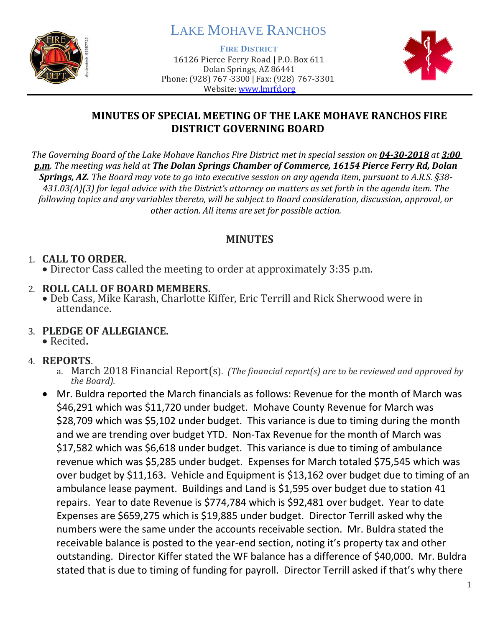

# LAKE MOHAVE RANCHOS

**FIRE DISTRICT**

16126 Pierce Ferry Road | P.O. Box 611 Dolan Springs, AZ 86441 Phone: (928) 767-3300 | Fax: (928) 767-3301 Website: [www.lmrfd.org](http://www.lmrfd.org/)



#### **MINUTES OF SPECIAL MEETING OF THE LAKE MOHAVE RANCHOS FIRE DISTRICT GOVERNING BOARD**

*The Governing Board of the Lake Mohave Ranchos Fire District met in special session on 04-30-2018 at 3:00 p.m. The meeting was held at The Dolan Springs Chamber of Commerce, 16154 Pierce Ferry Rd, Dolan Springs, AZ. The Board may vote to go into executive session on any agenda item, pursuant to A.R.S. §38- 431.03(A)(3) for legal advice with the District's attorney on matters as set forth in the agenda item. The following topics and any variables thereto, will be subject to Board consideration, discussion, approval, or other action. All items are set for possible action.*

# **MINUTES**

# 1. **CALL TO ORDER.**

• Director Cass called the meeting to order at approximately 3:35 p.m.

#### 2. **ROLL CALL OF BOARD MEMBERS.**

• Deb Cass, Mike Karash, Charlotte Kiffer, Eric Terrill and Rick Sherwood were in attendance.

#### 3. **PLEDGE OF ALLEGIANCE.**

• Recited**.** 

### 4. **REPORTS**.

- a. March 2018 Financial Report(s). *(The financial report(s) are to be reviewed and approved by the Board).*
- Mr. Buldra reported the March financials as follows: Revenue for the month of March was \$46,291 which was \$11,720 under budget. Mohave County Revenue for March was \$28,709 which was \$5,102 under budget. This variance is due to timing during the month and we are trending over budget YTD. Non-Tax Revenue for the month of March was \$17,582 which was \$6,618 under budget. This variance is due to timing of ambulance revenue which was \$5,285 under budget. Expenses for March totaled \$75,545 which was over budget by \$11,163. Vehicle and Equipment is \$13,162 over budget due to timing of an ambulance lease payment. Buildings and Land is \$1,595 over budget due to station 41 repairs. Year to date Revenue is \$774,784 which is \$92,481 over budget. Year to date Expenses are \$659,275 which is \$19,885 under budget. Director Terrill asked why the numbers were the same under the accounts receivable section. Mr. Buldra stated the receivable balance is posted to the year-end section, noting it's property tax and other outstanding. Director Kiffer stated the WF balance has a difference of \$40,000. Mr. Buldra stated that is due to timing of funding for payroll. Director Terrill asked if that's why there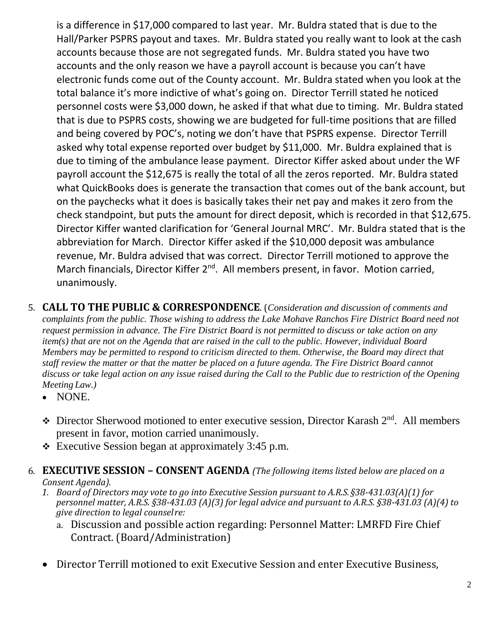is a difference in \$17,000 compared to last year. Mr. Buldra stated that is due to the Hall/Parker PSPRS payout and taxes. Mr. Buldra stated you really want to look at the cash accounts because those are not segregated funds. Mr. Buldra stated you have two accounts and the only reason we have a payroll account is because you can't have electronic funds come out of the County account. Mr. Buldra stated when you look at the total balance it's more indictive of what's going on. Director Terrill stated he noticed personnel costs were \$3,000 down, he asked if that what due to timing. Mr. Buldra stated that is due to PSPRS costs, showing we are budgeted for full-time positions that are filled and being covered by POC's, noting we don't have that PSPRS expense. Director Terrill asked why total expense reported over budget by \$11,000. Mr. Buldra explained that is due to timing of the ambulance lease payment. Director Kiffer asked about under the WF payroll account the \$12,675 is really the total of all the zeros reported. Mr. Buldra stated what QuickBooks does is generate the transaction that comes out of the bank account, but on the paychecks what it does is basically takes their net pay and makes it zero from the check standpoint, but puts the amount for direct deposit, which is recorded in that \$12,675. Director Kiffer wanted clarification for 'General Journal MRC'. Mr. Buldra stated that is the abbreviation for March. Director Kiffer asked if the \$10,000 deposit was ambulance revenue, Mr. Buldra advised that was correct. Director Terrill motioned to approve the March financials, Director Kiffer 2<sup>nd</sup>. All members present, in favor. Motion carried, unanimously.

5. **CALL TO THE PUBLIC & CORRESPONDENCE**. (*Consideration and discussion of comments and complaints from the public. Those wishing to address the Lake Mohave Ranchos Fire District Board need not request permission in advance. The Fire District Board is not permitted to discuss or take action on any item(s) that are not on the Agenda that are raised in the call to the public. However, individual Board Members may be permitted to respond to criticism directed to them. Otherwise, the Board may direct that staff review the matter or that the matter be placed on a future agenda. The Fire District Board cannot discuss or take legal action on any issue raised during the Call to the Public due to restriction of the Opening Meeting Law.)*

- NONE.
- ◆ Director Sherwood motioned to enter executive session, Director Karash 2<sup>nd</sup>. All members present in favor, motion carried unanimously.
- ❖ Executive Session began at approximately 3:45 p.m.
- 6. **EXECUTIVE SESSION – CONSENT AGENDA** *(The following items listed below are placed on a Consent Agenda).*
	- *1. Board of Directors may vote to go into Executive Session pursuant to A.R.S. §38-431.03(A)(1) for personnel matter, A.R.S. §38-431.03 (A)(3) for legal advice and pursuant to A.R.S. §38-431.03 (A)(4) to give direction to legal counselre:*
		- a. Discussion and possible action regarding: Personnel Matter: LMRFD Fire Chief Contract. (Board/Administration)
	- Director Terrill motioned to exit Executive Session and enter Executive Business,